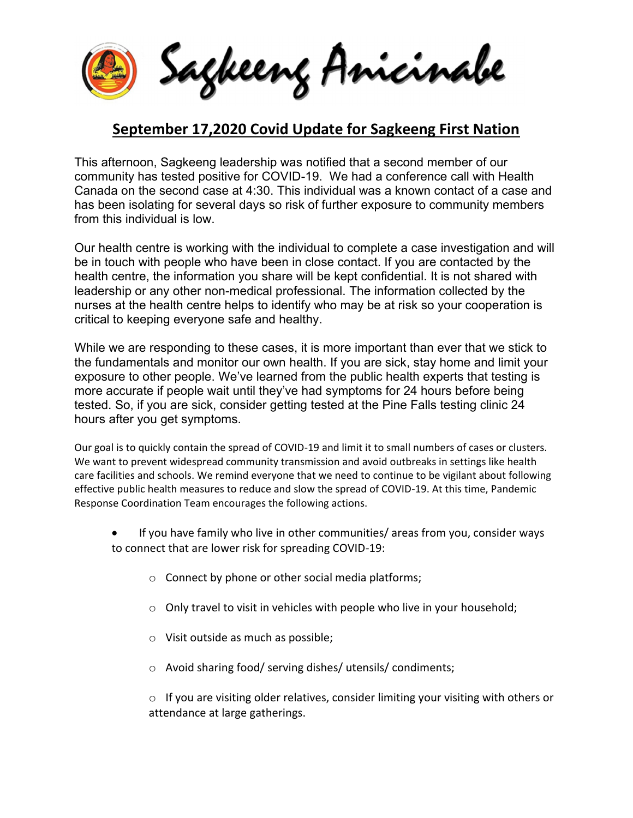Sagkeeng Anicinabe

## **September 17,2020 Covid Update for Sagkeeng First Nation**

This afternoon, Sagkeeng leadership was notified that a second member of our community has tested positive for COVID-19. We had a conference call with Health Canada on the second case at 4:30. This individual was a known contact of a case and has been isolating for several days so risk of further exposure to community members from this individual is low.

Our health centre is working with the individual to complete a case investigation and will be in touch with people who have been in close contact. If you are contacted by the health centre, the information you share will be kept confidential. It is not shared with leadership or any other non-medical professional. The information collected by the nurses at the health centre helps to identify who may be at risk so your cooperation is critical to keeping everyone safe and healthy.

While we are responding to these cases, it is more important than ever that we stick to the fundamentals and monitor our own health. If you are sick, stay home and limit your exposure to other people. We've learned from the public health experts that testing is more accurate if people wait until they've had symptoms for 24 hours before being tested. So, if you are sick, consider getting tested at the Pine Falls testing clinic 24 hours after you get symptoms.

Our goal is to quickly contain the spread of COVID-19 and limit it to small numbers of cases or clusters. We want to prevent widespread community transmission and avoid outbreaks in settings like health care facilities and schools. We remind everyone that we need to continue to be vigilant about following effective public health measures to reduce and slow the spread of COVID-19. At this time, Pandemic Response Coordination Team encourages the following actions.

- If you have family who live in other communities/ areas from you, consider ways to connect that are lower risk for spreading COVID-19:
	- o Connect by phone or other social media platforms;
	- o Only travel to visit in vehicles with people who live in your household;
	- o Visit outside as much as possible;
	- o Avoid sharing food/ serving dishes/ utensils/ condiments;

 $\circ$  If you are visiting older relatives, consider limiting your visiting with others or attendance at large gatherings.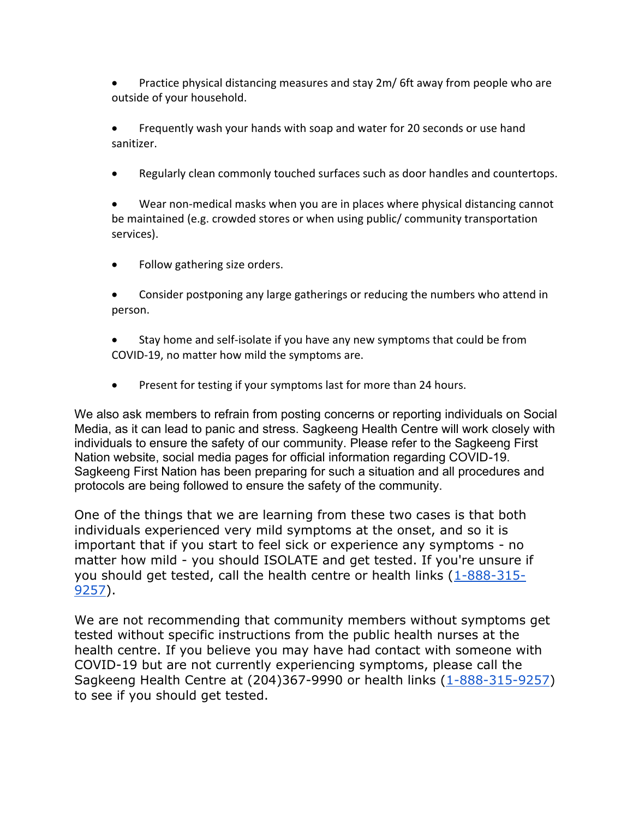Practice physical distancing measures and stay 2m/ 6ft away from people who are outside of your household.

 Frequently wash your hands with soap and water for 20 seconds or use hand sanitizer.

Regularly clean commonly touched surfaces such as door handles and countertops.

 Wear non-medical masks when you are in places where physical distancing cannot be maintained (e.g. crowded stores or when using public/ community transportation services).

- Follow gathering size orders.
- Consider postponing any large gatherings or reducing the numbers who attend in person.
- Stay home and self-isolate if you have any new symptoms that could be from COVID-19, no matter how mild the symptoms are.
- Present for testing if your symptoms last for more than 24 hours.

We also ask members to refrain from posting concerns or reporting individuals on Social Media, as it can lead to panic and stress. Sagkeeng Health Centre will work closely with individuals to ensure the safety of our community. Please refer to the Sagkeeng First Nation website, social media pages for official information regarding COVID-19. Sagkeeng First Nation has been preparing for such a situation and all procedures and protocols are being followed to ensure the safety of the community.

One of the things that we are learning from these two cases is that both individuals experienced very mild symptoms at the onset, and so it is important that if you start to feel sick or experience any symptoms - no matter how mild - you should ISOLATE and get tested. If you're unsure if you should get tested, call the health centre or health links (1-888-315- 9257).

We are not recommending that community members without symptoms get tested without specific instructions from the public health nurses at the health centre. If you believe you may have had contact with someone with COVID-19 but are not currently experiencing symptoms, please call the Sagkeeng Health Centre at (204)367-9990 or health links (1-888-315-9257) to see if you should get tested.